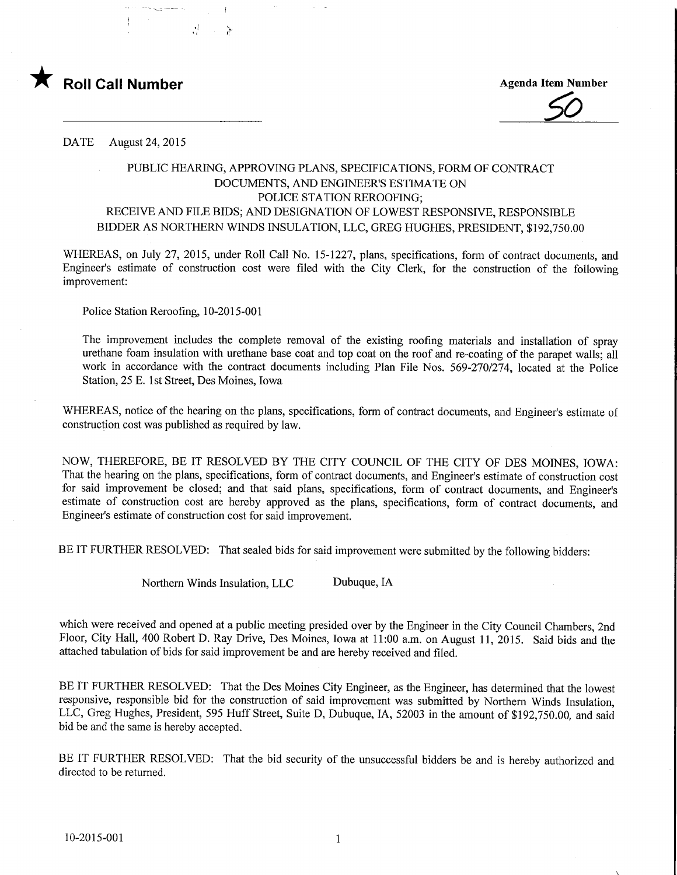

Agenda Item Number



DATE August 24, 2015

## PUBLIC HEARING, APPROVING PLANS, SPECIFICATIONS, FORM OF CONTRACT DOCUMENTS, AND ENGINEER'S ESTIMATE ON POLICE STATION REROOFING; RECEIVE AND FILE BIDS; AND DESIGNATION OF LOWEST RESPONSIVE, RESPONSIBLE BIDDER AS NORTHERN WINDS INSULATION, LLC, GREG HUGHES, PRESIDENT, \$192,750.00

WHEREAS, on July 27, 2015, under Roll Call No. 15-1227, plans, specifications, form of contract documents, and Engineer's estimate of construction cost were filed with the City Clerk, for the construction of the following improvement:

Police Station Reroofmg, 10-2015-001

The improvement includes the complete removal of the existing roofing materials and installation of spray urethane foam insulation with urethane base coat and top coat on the roof and re-coating of the parapet walls; all work in accordance with the contract documents including Plan File Nos. 569-270/274, located at the Police Station, 25 E. 1st Street, Des Moines, Iowa

WHEREAS, notice of the hearing on the plans, specifications, form of contract documents, and Engineer's estimate of construction cost was published as required by law.

NOW, THEREFORE, BE IT RESOLVED BY THE CITY COUNCIL OF THE CITY OF DES MOINES, IOWA: That the hearing on the plans, specifications, form of contract documents, and Engineer's estimate of construction cost for said improvement be closed; and that said plans, specifications, form of contract documents, and Engineer's estimate of construction cost are hereby approved as the plans, specifications, form of contract documents, and Engineer's estimate of construction cost for said improvement.

BE IT FURTHER RESOLVED: That sealed bids for said improvement were submitted by the following bidders:

Northern Winds Insulation, LLC Dubuque, IA

which were received and opened at a public meeting presided over by the Engineer in the City Council Chambers, 2nd Floor, City Hall, 400 Robert D. Ray Drive, Des Moines, Iowa at 11:00 a.m. on August 11, 2015. Said bids and the attached tabulation of bids for said improvement be and are hereby received and filed.

BE IT FURTHER RESOLVED: That the Des Moines City Engineer, as the Engineer, has determined that the lowest responsive, responsible bid for the construction of said improvement was submitted by Northern Winds Insulation, LLC, Greg Hughes, President, 595 Huff Street, Suite D, Dubuque, IA, 52003 in the amount of \$192,750.00, and said bid be and the same is hereby accepted.

BE IT FURTHER RESOLVED: That the bid security of the unsuccessful bidders be and is hereby authorized and directed to be returned.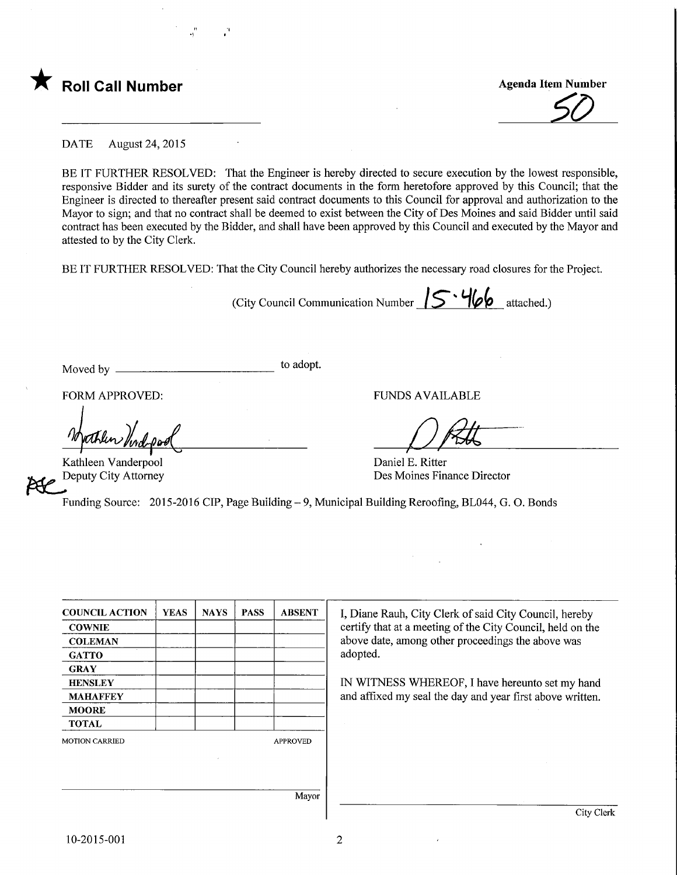

**Agenda Item Number** 

DATE August 24, 2015

BE IT FURTHER RESOLVED: That the Engineer is hereby directed to secure execution by the lowest responsible, responsive Bidder and its surety of the contract documents in the form heretofore approved by this Council; that the Engineer is directed to thereafter present said contract documents to this Council for approval and authorization to the Mayor to sign; and that no contract shall be deemed to exist between the City of Des Moines and said Bidder until said contract has been executed by the Bidder, and shall have been approved by this Council and executed by the Mayor and attested to by the City Clerk.

BE IT FURTHER RESOLVED: That the City Council hereby authorizes the necessary road closures for the Project.

(City Council Communication Number  $15 · 466$  attached.)

Daniel E. Ritter

Des Moines Finance Director

Moved by to adopt.

FORM APPROVED: THE PUNDS AVAILABLE

ather find

Kathleen Vanderpool Deputy City Attorney

Funding Source: 2015-2016 CIP, Page Building - 9, Municipal Building Reroofing, BL044, G. O. Bonds

| <b>COUNCIL ACTION</b> | <b>YEAS</b> | <b>NAYS</b> | <b>PASS</b> | <b>ABSENT</b>   | I, Diane Rauh, City Clerk of said City Council, hereby     |  |
|-----------------------|-------------|-------------|-------------|-----------------|------------------------------------------------------------|--|
| <b>COWNIE</b>         |             |             |             |                 | certify that at a meeting of the City Council, held on the |  |
| <b>COLEMAN</b>        |             |             |             |                 | above date, among other proceedings the above was          |  |
| <b>GATTO</b>          |             |             |             |                 | adopted.                                                   |  |
| <b>GRAY</b>           |             |             |             |                 |                                                            |  |
| <b>HENSLEY</b>        |             |             |             |                 | IN WITNESS WHEREOF, I have hereunto set my hand            |  |
| <b>MAHAFFEY</b>       |             |             |             |                 | and affixed my seal the day and year first above written.  |  |
| <b>MOORE</b>          |             |             |             |                 |                                                            |  |
| <b>TOTAL</b>          |             |             |             |                 |                                                            |  |
| <b>MOTION CARRIED</b> |             |             |             | <b>APPROVED</b> |                                                            |  |
|                       |             |             |             |                 |                                                            |  |
|                       |             |             |             |                 |                                                            |  |
|                       |             |             |             |                 |                                                            |  |
|                       |             |             |             | Mayor           |                                                            |  |
|                       |             |             |             |                 | City Clerk                                                 |  |